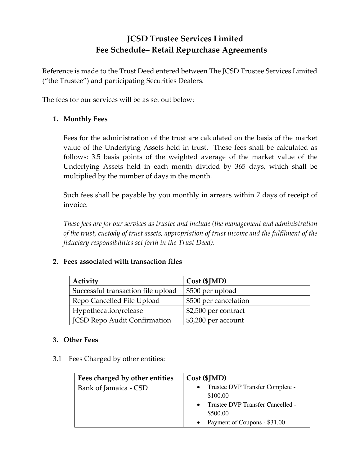## **JCSD Trustee Services Limited Fee Schedule– Retail Repurchase Agreements**

Reference is made to the Trust Deed entered between The JCSD Trustee Services Limited ("the Trustee") and participating Securities Dealers.

The fees for our services will be as set out below:

## **1. Monthly Fees**

Fees for the administration of the trust are calculated on the basis of the market value of the Underlying Assets held in trust. These fees shall be calculated as follows: 3.5 basis points of the weighted average of the market value of the Underlying Assets held in each month divided by 365 days, which shall be multiplied by the number of days in the month.

Such fees shall be payable by you monthly in arrears within 7 days of receipt of invoice.

*These fees are for our services as trustee and include (the management and administration of the trust, custody of trust assets, appropriation of trust income and the fulfilment of the fiduciary responsibilities set forth in the Trust Deed)*.

## **2. Fees associated with transaction files**

| Activity                            | $Cost$ (\$JMD)        |
|-------------------------------------|-----------------------|
| Successful transaction file upload  | \$500 per upload      |
| Repo Cancelled File Upload          | \$500 per cancelation |
| Hypothecation/release               | \$2,500 per contract  |
| <b>JCSD Repo Audit Confirmation</b> | \$3,200 per account   |

## **3. Other Fees**

3.1 Fees Charged by other entities:

| Fees charged by other entities | Cost (\$JMD)                                             |
|--------------------------------|----------------------------------------------------------|
| Bank of Jamaica - CSD          | Trustee DVP Transfer Complete -<br>$\bullet$<br>\$100.00 |
|                                | Trustee DVP Transfer Cancelled -<br>\$500.00             |
|                                | Payment of Coupons - \$31.00                             |